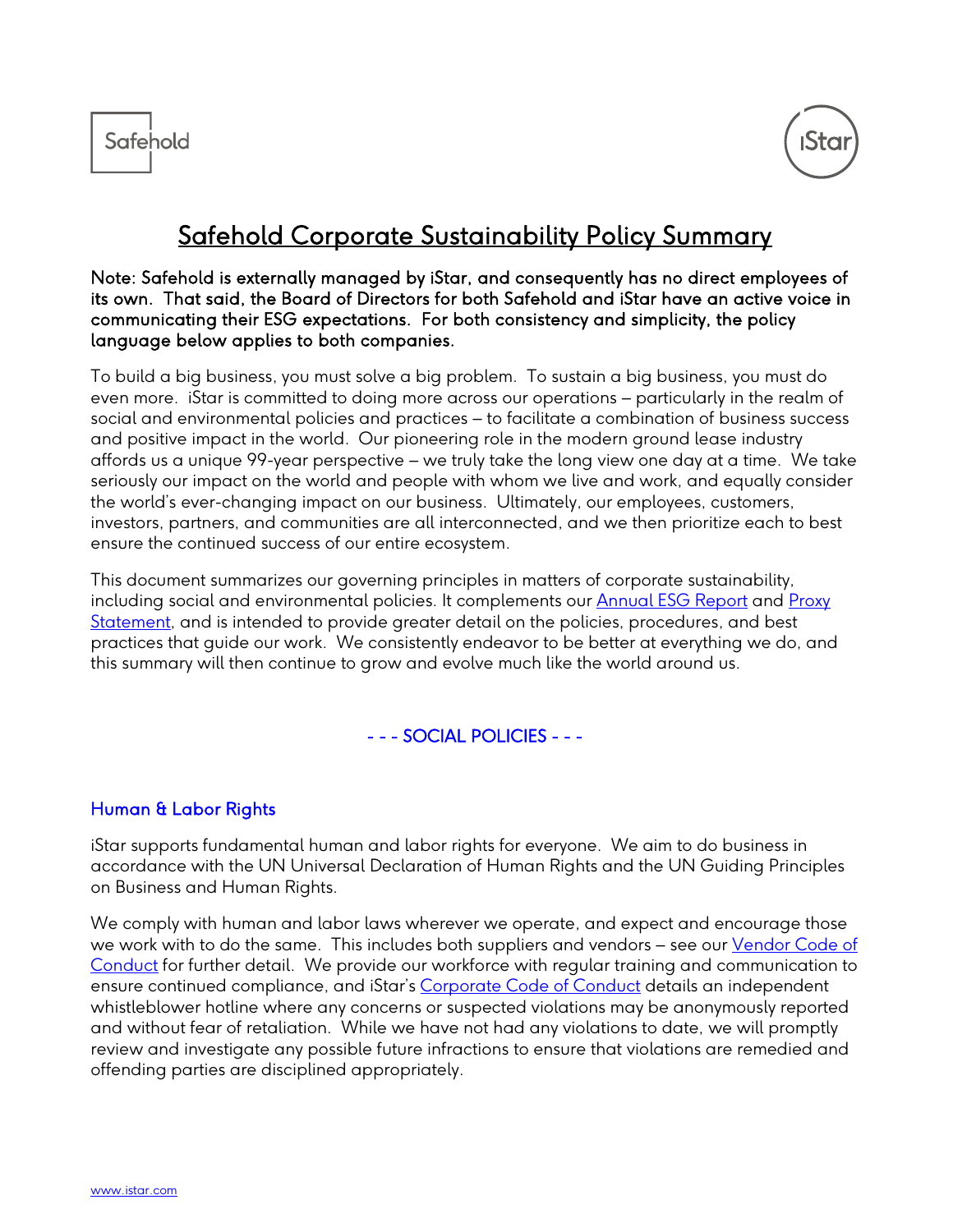



# Safehold Corporate Sustainability Policy Summary

#### Note: Safehold is externally managed by iStar, and consequently has no direct employees of its own. That said, the Board of Directors for both Safehold and iStar have an active voice in communicating their ESG expectations. For both consistency and simplicity, the policy language below applies to both companies.

To build a big business, you must solve a big problem. To sustain a big business, you must do even more. iStar is committed to doing more across our operations – particularly in the realm of social and environmental policies and practices – to facilitate a combination of business success and positive impact in the world. Our pioneering role in the modern ground lease industry affords us a unique 99-year perspective – we truly take the long view one day at a time. We take seriously our impact on the world and people with whom we live and work, and equally consider the world's ever-changing impact on our business. Ultimately, our employees, customers, investors, partners, and communities are all interconnected, and we then prioritize each to best ensure the continued success of our entire ecosystem.

This document summarizes our governing principles in matters of corporate sustainability, including social and environmental policies. It complements our [Annual ESG Report](https://ir.safeholdinc.com/static-files/eea7e395-9567-4766-8463-42399e99a6a6) and [Proxy](https://ir.safeholdinc.com/static-files/1bbeb357-fcf7-463e-b3c5-be5f709bd667)  [Statement,](https://ir.safeholdinc.com/static-files/1bbeb357-fcf7-463e-b3c5-be5f709bd667) and is intended to provide greater detail on the policies, procedures, and best practices that guide our work. We consistently endeavor to be better at everything we do, and this summary will then continue to grow and evolve much like the world around us.

#### - - - SOCIAL POLICIES - - -

#### Human & Labor Rights

iStar supports fundamental human and labor rights for everyone. We aim to do business in accordance with the UN Universal Declaration of Human Rights and the UN Guiding Principles on Business and Human Rights.

We comply with human and labor laws wherever we operate, and expect and encourage those we work with to do the same. This includes both suppliers and vendors – see our [Vendor Code of](http://www.istar.com/wp-content/uploads/2022/04/Safehold-Vendor-Code-Conduct-April-2022.pdf)  [Conduct](http://www.istar.com/wp-content/uploads/2022/04/Safehold-Vendor-Code-Conduct-April-2022.pdf) for further detail. We provide our workforce with regular training and communication to ensure continued compliance, and iStar's [Corporate Code of Conduct](https://ir.istar.com/static-files/3808aaee-9140-443e-979e-1c7af3e39c06) details an independent whistleblower hotline where any concerns or suspected violations may be anonymously reported and without fear of retaliation. While we have not had any violations to date, we will promptly review and investigate any possible future infractions to ensure that violations are remedied and offending parties are disciplined appropriately.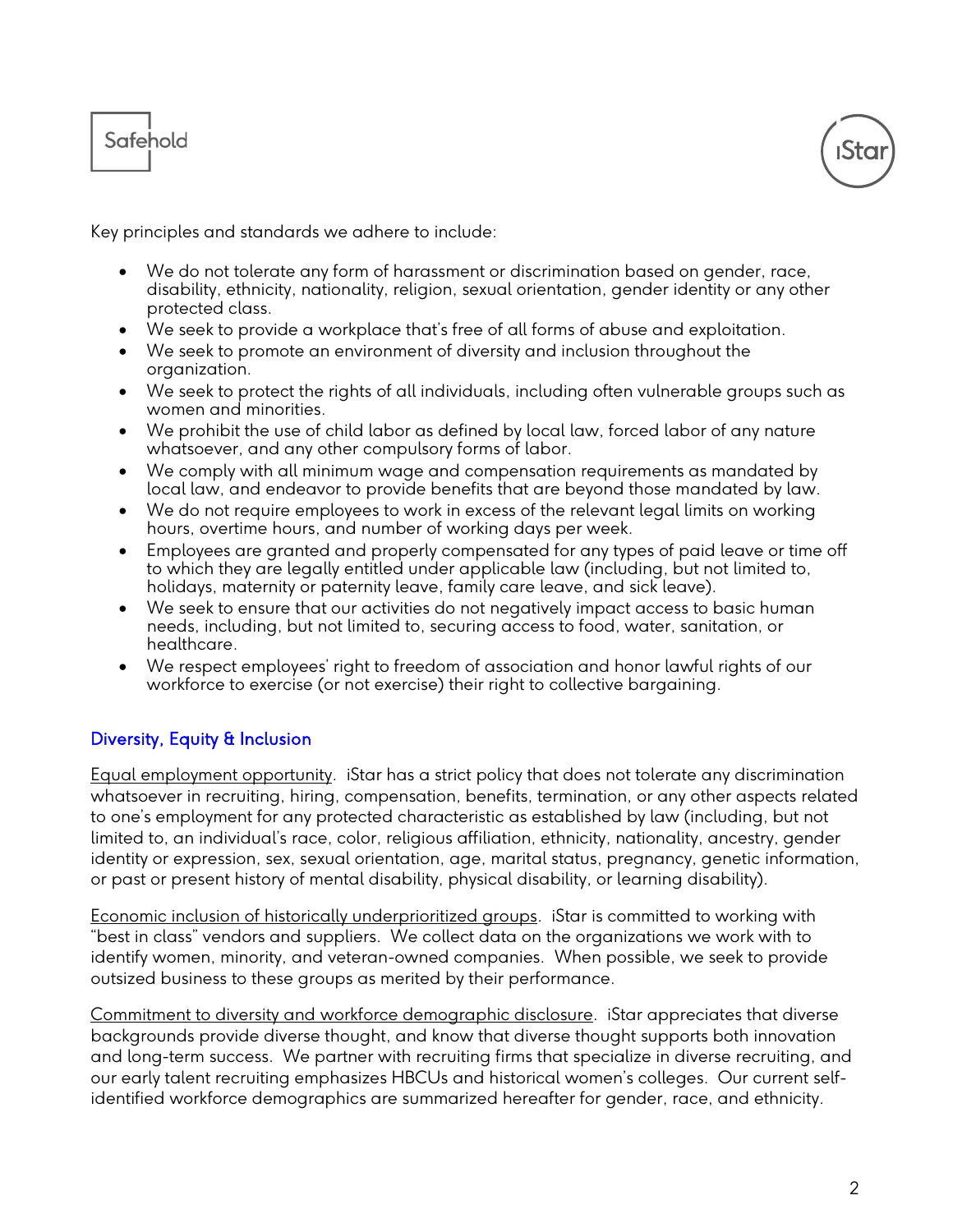



Key principles and standards we adhere to include:

- We do not tolerate any form of harassment or discrimination based on gender, race, disability, ethnicity, nationality, religion, sexual orientation, gender identity or any other protected class.
- We seek to provide a workplace that's free of all forms of abuse and exploitation.
- We seek to promote an environment of diversity and inclusion throughout the organization.
- We seek to protect the rights of all individuals, including often vulnerable groups such as women and minorities.
- We prohibit the use of child labor as defined by local law, forced labor of any nature whatsoever, and any other compulsory forms of labor.
- We comply with all minimum wage and compensation requirements as mandated by local law, and endeavor to provide benefits that are beyond those mandated by law.
- We do not require employees to work in excess of the relevant legal limits on working hours, overtime hours, and number of working days per week.
- Employees are granted and properly compensated for any types of paid leave or time off to which they are legally entitled under applicable law (including, but not limited to, holidays, maternity or paternity leave, family care leave, and sick leave).
- We seek to ensure that our activities do not negatively impact access to basic human needs, including, but not limited to, securing access to food, water, sanitation, or healthcare.
- We respect employees' right to freedom of association and honor lawful rights of our workforce to exercise (or not exercise) their right to collective bargaining.

#### Diversity, Equity & Inclusion

Equal employment opportunity. iStar has a strict policy that does not tolerate any discrimination whatsoever in recruiting, hiring, compensation, benefits, termination, or any other aspects related to one's employment for any protected characteristic as established by law (including, but not limited to, an individual's race, color, religious affiliation, ethnicity, nationality, ancestry, gender identity or expression, sex, sexual orientation, age, marital status, pregnancy, genetic information, or past or present history of mental disability, physical disability, or learning disability).

Economic inclusion of historically underprioritized groups. iStar is committed to working with "best in class" vendors and suppliers. We collect data on the organizations we work with to identify women, minority, and veteran-owned companies. When possible, we seek to provide outsized business to these groups as merited by their performance.

Commitment to diversity and workforce demographic disclosure. iStar appreciates that diverse backgrounds provide diverse thought, and know that diverse thought supports both innovation and long-term success. We partner with recruiting firms that specialize in diverse recruiting, and our early talent recruiting emphasizes HBCUs and historical women's colleges. Our current selfidentified workforce demographics are summarized hereafter for gender, race, and ethnicity.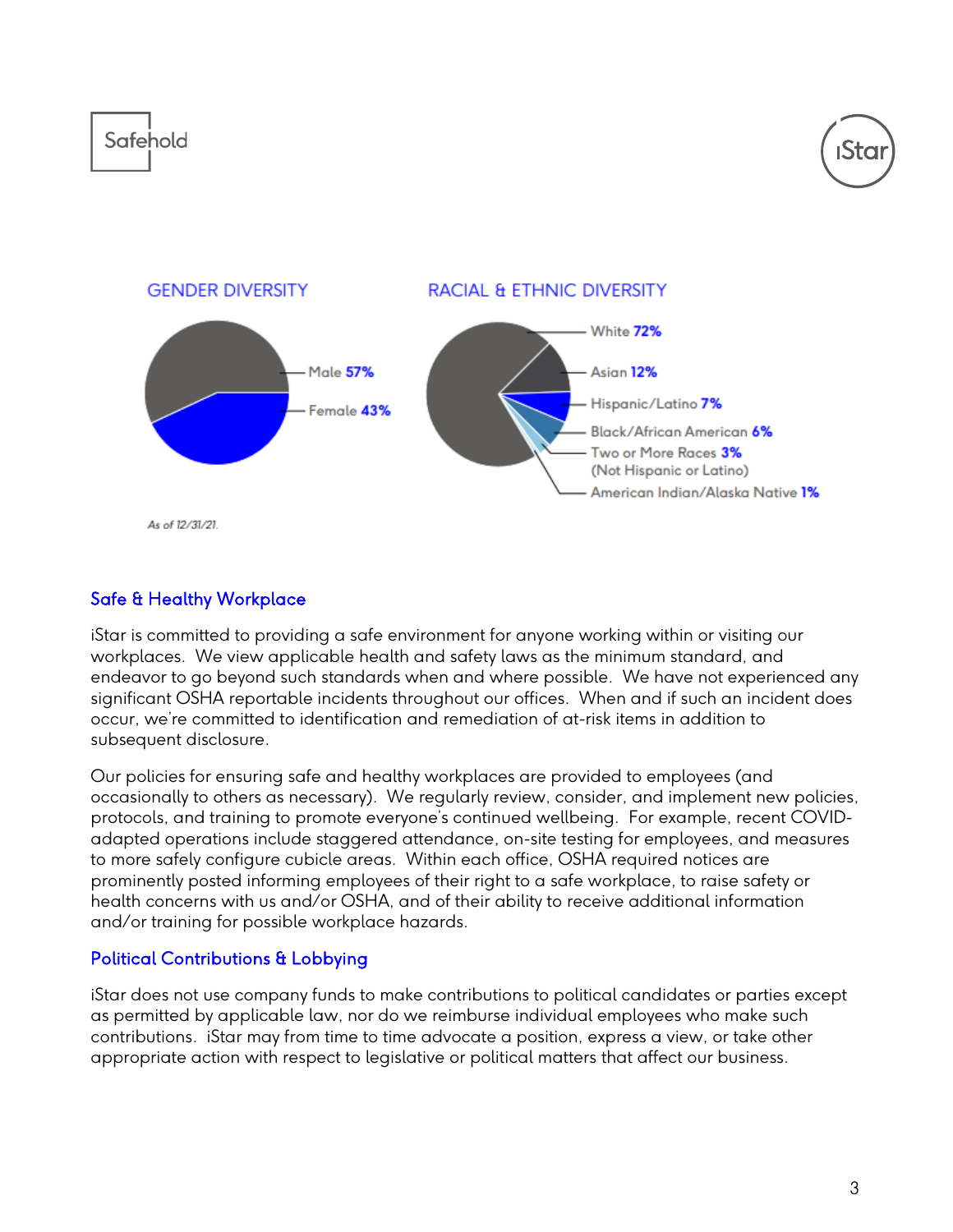

As of 12/31/21.

#### Safe & Healthy Workplace

iStar is committed to providing a safe environment for anyone working within or visiting our workplaces. We view applicable health and safety laws as the minimum standard, and endeavor to go beyond such standards when and where possible. We have not experienced any significant OSHA reportable incidents throughout our offices. When and if such an incident does occur, we're committed to identification and remediation of at-risk items in addition to subsequent disclosure.

Our policies for ensuring safe and healthy workplaces are provided to employees (and occasionally to others as necessary). We regularly review, consider, and implement new policies, protocols, and training to promote everyone's continued wellbeing. For example, recent COVIDadapted operations include staggered attendance, on-site testing for employees, and measures to more safely configure cubicle areas. Within each office, OSHA required notices are prominently posted informing employees of their right to a safe workplace, to raise safety or health concerns with us and/or OSHA, and of their ability to receive additional information and/or training for possible workplace hazards.

#### Political Contributions & Lobbying

iStar does not use company funds to make contributions to political candidates or parties except as permitted by applicable law, nor do we reimburse individual employees who make such contributions. iStar may from time to time advocate a position, express a view, or take other appropriate action with respect to legislative or political matters that affect our business.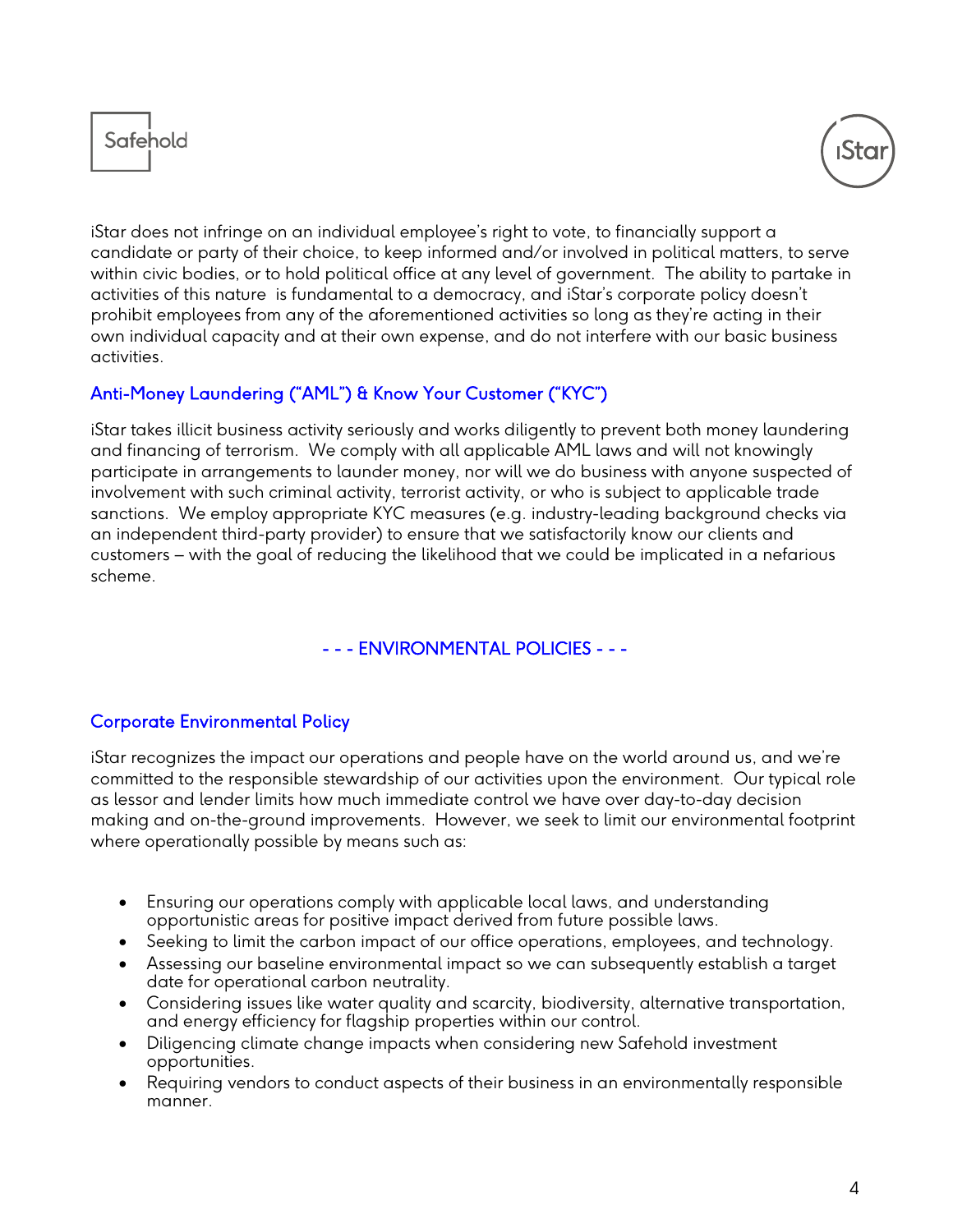



iStar does not infringe on an individual employee's right to vote, to financially support a candidate or party of their choice, to keep informed and/or involved in political matters, to serve within civic bodies, or to hold political office at any level of government. The ability to partake in activities of this nature is fundamental to a democracy, and iStar's corporate policy doesn't prohibit employees from any of the aforementioned activities so long as they're acting in their own individual capacity and at their own expense, and do not interfere with our basic business activities.

# Anti-Money Laundering ("AML") & Know Your Customer ("KYC")

iStar takes illicit business activity seriously and works diligently to prevent both money laundering and financing of terrorism. We comply with all applicable AML laws and will not knowingly participate in arrangements to launder money, nor will we do business with anyone suspected of involvement with such criminal activity, terrorist activity, or who is subject to applicable trade sanctions. We employ appropriate KYC measures (e.g. industry-leading background checks via an independent third-party provider) to ensure that we satisfactorily know our clients and customers – with the goal of reducing the likelihood that we could be implicated in a nefarious scheme.

# - - - ENVIRONMENTAL POLICIES - - -

#### Corporate Environmental Policy

iStar recognizes the impact our operations and people have on the world around us, and we're committed to the responsible stewardship of our activities upon the environment. Our typical role as lessor and lender limits how much immediate control we have over day-to-day decision making and on-the-ground improvements. However, we seek to limit our environmental footprint where operationally possible by means such as:

- Ensuring our operations comply with applicable local laws, and understanding opportunistic areas for positive impact derived from future possible laws.
- Seeking to limit the carbon impact of our office operations, employees, and technology.
- Assessing our baseline environmental impact so we can subsequently establish a target date for operational carbon neutrality.
- Considering issues like water quality and scarcity, biodiversity, alternative transportation, and energy efficiency for flagship properties within our control.
- Diligencing climate change impacts when considering new Safehold investment opportunities.
- Requiring vendors to conduct aspects of their business in an environmentally responsible manner.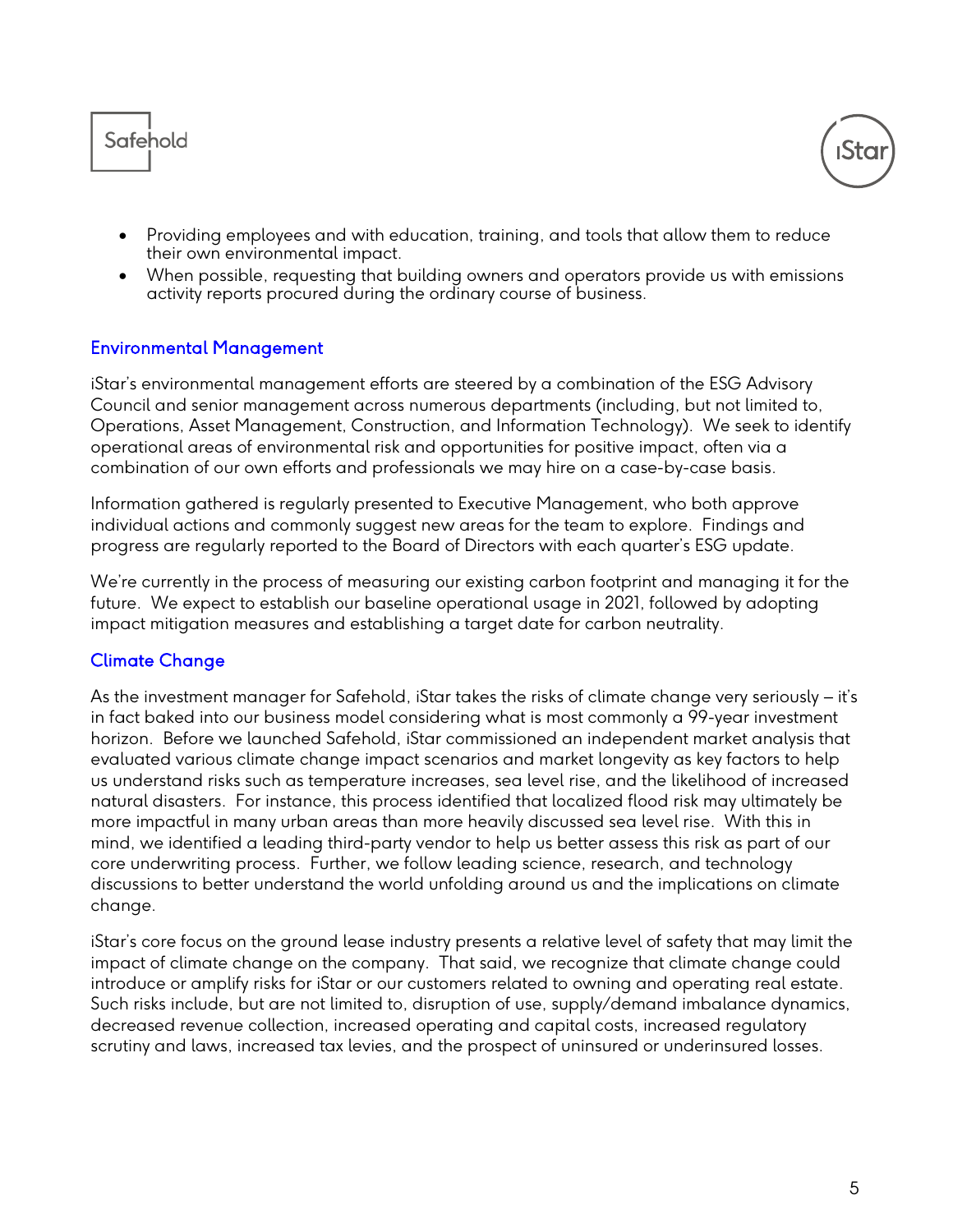



- Providing employees and with education, training, and tools that allow them to reduce their own environmental impact.
- When possible, requesting that building owners and operators provide us with emissions activity reports procured during the ordinary course of business.

#### Environmental Management

iStar's environmental management efforts are steered by a combination of the ESG Advisory Council and senior management across numerous departments (including, but not limited to, Operations, Asset Management, Construction, and Information Technology). We seek to identify operational areas of environmental risk and opportunities for positive impact, often via a combination of our own efforts and professionals we may hire on a case-by-case basis.

Information gathered is regularly presented to Executive Management, who both approve individual actions and commonly suggest new areas for the team to explore. Findings and progress are regularly reported to the Board of Directors with each quarter's ESG update.

We're currently in the process of measuring our existing carbon footprint and managing it for the future. We expect to establish our baseline operational usage in 2021, followed by adopting impact mitigation measures and establishing a target date for carbon neutrality.

# Climate Change

As the investment manager for Safehold, iStar takes the risks of climate change very seriously – it's in fact baked into our business model considering what is most commonly a 99-year investment horizon. Before we launched Safehold, iStar commissioned an independent market analysis that evaluated various climate change impact scenarios and market longevity as key factors to help us understand risks such as temperature increases, sea level rise, and the likelihood of increased natural disasters. For instance, this process identified that localized flood risk may ultimately be more impactful in many urban areas than more heavily discussed sea level rise. With this in mind, we identified a leading third-party vendor to help us better assess this risk as part of our core underwriting process. Further, we follow leading science, research, and technology discussions to better understand the world unfolding around us and the implications on climate change.

iStar's core focus on the ground lease industry presents a relative level of safety that may limit the impact of climate change on the company. That said, we recognize that climate change could introduce or amplify risks for iStar or our customers related to owning and operating real estate. Such risks include, but are not limited to, disruption of use, supply/demand imbalance dynamics, decreased revenue collection, increased operating and capital costs, increased regulatory scrutiny and laws, increased tax levies, and the prospect of uninsured or underinsured losses.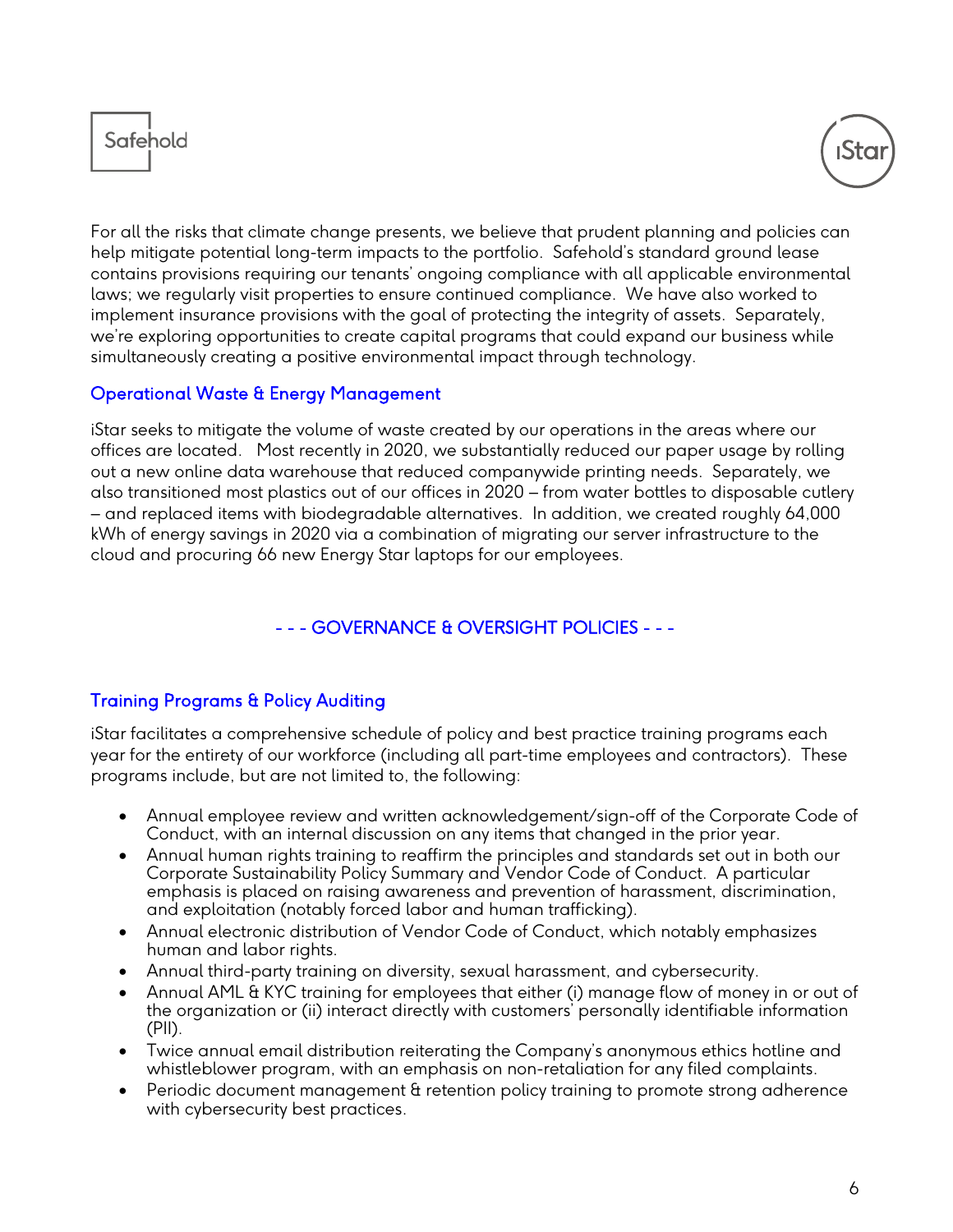



For all the risks that climate change presents, we believe that prudent planning and policies can help mitigate potential long-term impacts to the portfolio. Safehold's standard ground lease contains provisions requiring our tenants' ongoing compliance with all applicable environmental laws; we regularly visit properties to ensure continued compliance. We have also worked to implement insurance provisions with the goal of protecting the integrity of assets. Separately, we're exploring opportunities to create capital programs that could expand our business while simultaneously creating a positive environmental impact through technology.

#### Operational Waste & Energy Management

iStar seeks to mitigate the volume of waste created by our operations in the areas where our offices are located. Most recently in 2020, we substantially reduced our paper usage by rolling out a new online data warehouse that reduced companywide printing needs. Separately, we also transitioned most plastics out of our offices in 2020 – from water bottles to disposable cutlery – and replaced items with biodegradable alternatives. In addition, we created roughly 64,000 kWh of energy savings in 2020 via a combination of migrating our server infrastructure to the cloud and procuring 66 new Energy Star laptops for our employees.

# - - - GOVERNANCE & OVERSIGHT POLICIES - - -

# Training Programs & Policy Auditing

iStar facilitates a comprehensive schedule of policy and best practice training programs each year for the entirety of our workforce (including all part-time employees and contractors). These programs include, but are not limited to, the following:

- Annual employee review and written acknowledgement/sign-off of the Corporate Code of Conduct, with an internal discussion on any items that changed in the prior year.
- Annual human rights training to reaffirm the principles and standards set out in both our Corporate Sustainability Policy Summary and Vendor Code of Conduct. A particular emphasis is placed on raising awareness and prevention of harassment, discrimination, and exploitation (notably forced labor and human trafficking).
- Annual electronic distribution of Vendor Code of Conduct, which notably emphasizes human and labor rights.
- Annual third-party training on diversity, sexual harassment, and cybersecurity.
- Annual AML & KYC training for employees that either (i) manage flow of money in or out of the organization or (ii) interact directly with customers' personally identifiable information (PII).
- Twice annual email distribution reiterating the Company's anonymous ethics hotline and whistleblower program, with an emphasis on non-retaliation for any filed complaints.
- Periodic document management & retention policy training to promote strong adherence with cybersecurity best practices.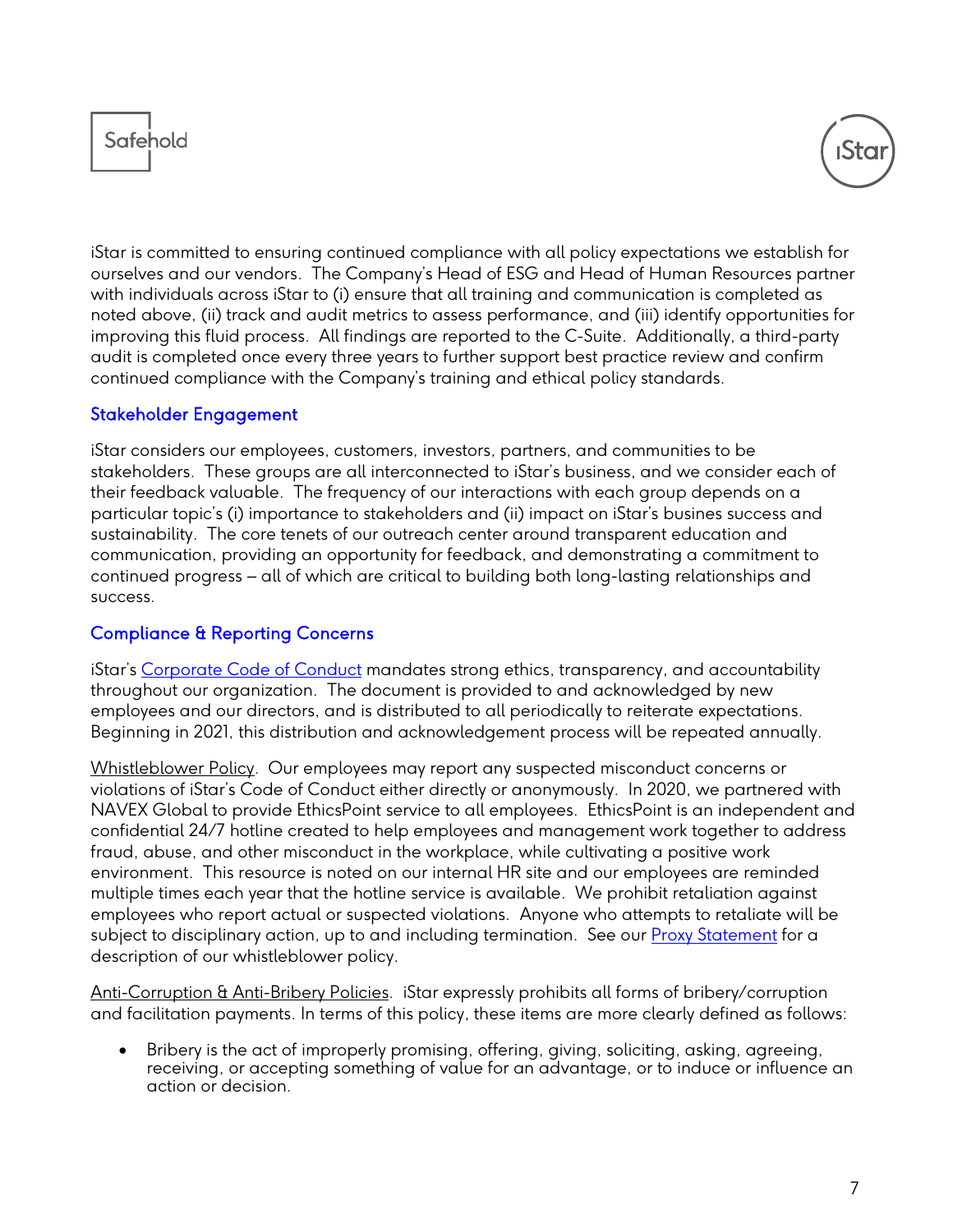



iStar is committed to ensuring continued compliance with all policy expectations we establish for ourselves and our vendors. The Company's Head of ESG and Head of Human Resources partner with individuals across iStar to (i) ensure that all training and communication is completed as noted above, (ii) track and audit metrics to assess performance, and (iii) identify opportunities for improving this fluid process. All findings are reported to the C-Suite. Additionally, a third-party audit is completed once every three years to further support best practice review and confirm continued compliance with the Company's training and ethical policy standards.

#### Stakeholder Engagement

iStar considers our employees, customers, investors, partners, and communities to be stakeholders. These groups are all interconnected to iStar's business, and we consider each of their feedback valuable. The frequency of our interactions with each group depends on a particular topic's (i) importance to stakeholders and (ii) impact on iStar's busines success and sustainability. The core tenets of our outreach center around transparent education and communication, providing an opportunity for feedback, and demonstrating a commitment to continued progress – all of which are critical to building both long-lasting relationships and success.

#### Compliance & Reporting Concerns

iStar's [Corporate Code of Conduct](https://ir.istar.com/static-files/3808aaee-9140-443e-979e-1c7af3e39c06) mandates strong ethics, transparency, and accountability throughout our organization. The document is provided to and acknowledged by new employees and our directors, and is distributed to all periodically to reiterate expectations. Beginning in 2021, this distribution and acknowledgement process will be repeated annually.

Whistleblower Policy. Our employees may report any suspected misconduct concerns or violations of iStar's Code of Conduct either directly or anonymously. In 2020, we partnered with NAVEX Global to provide EthicsPoint service to all employees. EthicsPoint is an independent and confidential 24/7 hotline created to help employees and management work together to address fraud, abuse, and other misconduct in the workplace, while cultivating a positive work environment. This resource is noted on our internal HR site and our employees are reminded multiple times each year that the hotline service is available. We prohibit retaliation against employees who report actual or suspected violations. Anyone who attempts to retaliate will be subject to disciplinary action, up to and including termination. See our **Proxy Statement** for a description of our whistleblower policy.

Anti-Corruption & Anti-Bribery Policies. iStar expressly prohibits all forms of bribery/corruption and facilitation payments. In terms of this policy, these items are more clearly defined as follows:

• Bribery is the act of improperly promising, offering, giving, soliciting, asking, agreeing, receiving, or accepting something of value for an advantage, or to induce or influence an action or decision.